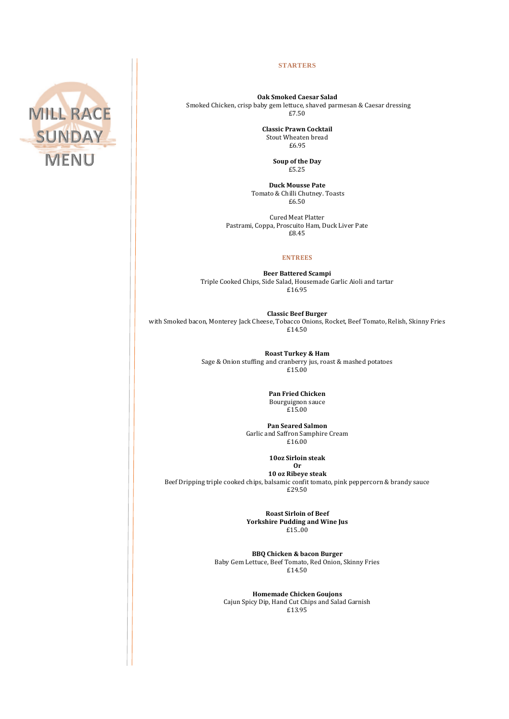

## **STARTERS**

**Oak Smoked Caesar Salad**  Smoked Chicken, crisp baby gem lettuce, shaved parmesan & Caesar dressing £7.50

> **Classic Prawn Cocktail**  Stout Wheaten bread £6.95

> > **Soup of the Day**  £5.25

**Duck Mousse Pate** Tomato & Chilli Chutney. Toasts £6.50

Cured Meat Platter Pastrami, Coppa, Proscuito Ham, Duck Liver Pate £8.45

## **ENTREES**

**Beer Battered Scampi** Triple Cooked Chips, Side Salad, Housemade Garlic Aioli and tartar £16.95

**Classic Beef Burger** with Smoked bacon, Monterey Jack Cheese, Tobacco Onions, Rocket, Beef Tomato, Relish, Skinny Fries £14.50

> **Roast Turkey & Ham**  Sage & Onion stuffing and cranberry jus, roast & mashed potatoes £15.00

> > **Pan Fried Chicken** Bourguignon sauce £15.00

**Pan Seared Salmon**  Garlic and Saffron Samphire Cream £16.00

> **10oz Sirloin steak Or**

**10 oz Ribeye steak** Beef Dripping triple cooked chips, balsamic confit tomato, pink peppercorn & brandy sauce £29.50

> **Roast Sirloin of Beef Yorkshire Pudding and Wine Jus**  £15..00

**BBQ Chicken & bacon Burger**  Baby Gem Lettuce, Beef Tomato, Red Onion, Skinny Fries £14.50

**Homemade Chicken Goujons**  Cajun Spicy Dip, Hand Cut Chips and Salad Garnish £13.95